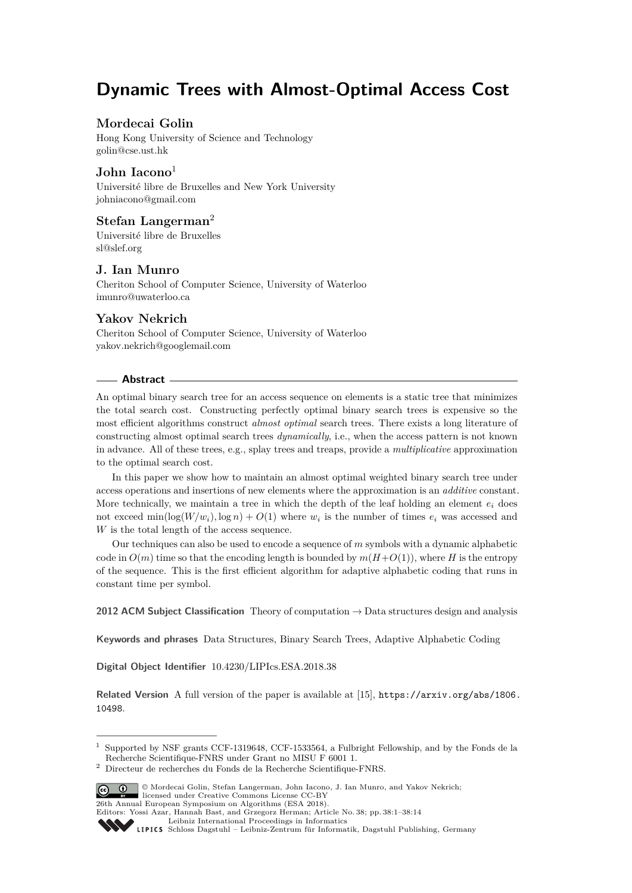# **Dynamic Trees with Almost-Optimal Access Cost**

# **Mordecai Golin**

Hong Kong University of Science and Technology [golin@cse.ust.hk](mailto:golin@cse.ust.hk)

## **John Iacono**<sup>1</sup>

Université libre de Bruxelles and New York University [johniacono@gmail.com](mailto:johniacono@gmail.com)

# **Stefan Langerman**<sup>2</sup>

Université libre de Bruxelles [sl@slef.org](mailto:sl@slef.org)

## **J. Ian Munro**

Cheriton School of Computer Science, University of Waterloo [imunro@uwaterloo.ca](mailto:imunro@uwaterloo.ca)

# **Yakov Nekrich**

Cheriton School of Computer Science, University of Waterloo [yakov.nekrich@googlemail.com](mailto:yakov.nekrich@googlemail.com)

#### **Abstract**

An optimal binary search tree for an access sequence on elements is a static tree that minimizes the total search cost. Constructing perfectly optimal binary search trees is expensive so the most efficient algorithms construct *almost optimal* search trees. There exists a long literature of constructing almost optimal search trees *dynamically*, i.e., when the access pattern is not known in advance. All of these trees, e.g., splay trees and treaps, provide a *multiplicative* approximation to the optimal search cost.

In this paper we show how to maintain an almost optimal weighted binary search tree under access operations and insertions of new elements where the approximation is an *additive* constant. More technically, we maintain a tree in which the depth of the leaf holding an element  $e_i$  does not exceed  $\min(\log(W/w_i), \log n) + O(1)$  where  $w_i$  is the number of times  $e_i$  was accessed and *W* is the total length of the access sequence.

Our techniques can also be used to encode a sequence of *m* symbols with a dynamic alphabetic code in  $O(m)$  time so that the encoding length is bounded by  $m(H+O(1))$ , where *H* is the entropy of the sequence. This is the first efficient algorithm for adaptive alphabetic coding that runs in constant time per symbol.

**2012 ACM Subject Classification** Theory of computation → Data structures design and analysis

**Keywords and phrases** Data Structures, Binary Search Trees, Adaptive Alphabetic Coding

**Digital Object Identifier** [10.4230/LIPIcs.ESA.2018.38](http://dx.doi.org/10.4230/LIPIcs.ESA.2018.38)

**Related Version** A full version of the paper is available at [\[15\]](#page-12-0), [https://arxiv.org/abs/1806.](https://arxiv.org/abs/1806.10498) [10498](https://arxiv.org/abs/1806.10498).

 $^{\rm 2}$  Directeur de recherches du Fonds de la Recherche Scientifique-FNRS.



<sup>©</sup> Mordecai Golin, Stefan Langerman, John Iacono, J. Ian Munro, and Yakov Nekrich; licensed under Creative Commons License CC-BY 26th Annual European Symposium on Algorithms (ESA 2018).

<sup>1</sup> Supported by NSF grants CCF-1319648, CCF-1533564, a Fulbright Fellowship, and by the Fonds de la Recherche Scientifique-FNRS under Grant no MISU F 6001 1.

Editors: Yossi Azar, Hannah Bast, and Grzegorz Herman; Article No. 38; pp. 38:1–38[:14](#page-13-0)

[Leibniz International Proceedings in Informatics](http://www.dagstuhl.de/lipics/)

Leibniz International Froceedings in miormatics<br>
LIPICS [Schloss Dagstuhl – Leibniz-Zentrum für Informatik, Dagstuhl Publishing, Germany](http://www.dagstuhl.de)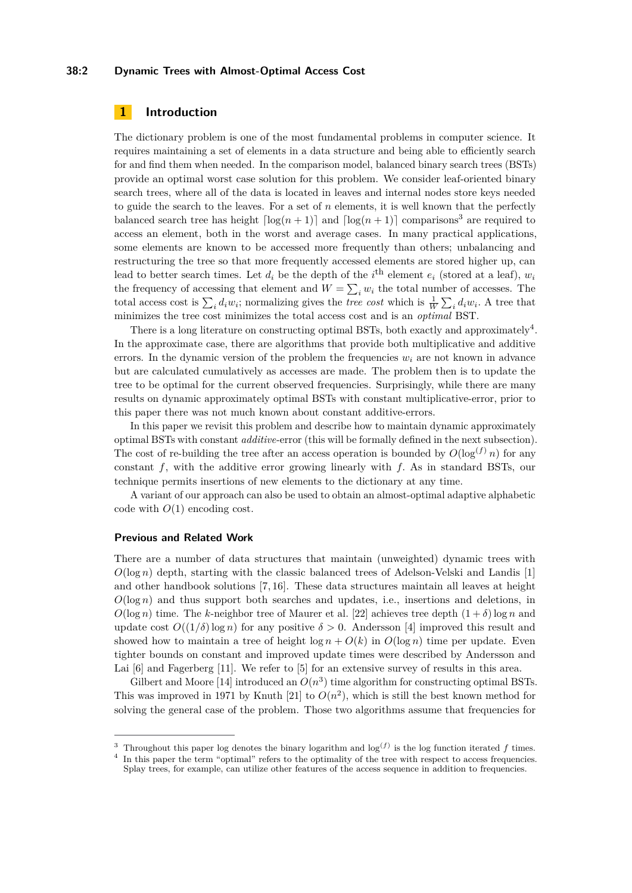#### **38:2 Dynamic Trees with Almost-Optimal Access Cost**

## **1 Introduction**

The dictionary problem is one of the most fundamental problems in computer science. It requires maintaining a set of elements in a data structure and being able to efficiently search for and find them when needed. In the comparison model, balanced binary search trees (BSTs) provide an optimal worst case solution for this problem. We consider leaf-oriented binary search trees, where all of the data is located in leaves and internal nodes store keys needed to guide the search to the leaves. For a set of *n* elements, it is well known that the perfectly balanced search tree has height  $\lceil \log(n+1) \rceil$  and  $\lceil \log(n+1) \rceil$  comparisons<sup>[3](#page-1-0)</sup> are required to access an element, both in the worst and average cases. In many practical applications, some elements are known to be accessed more frequently than others; unbalancing and restructuring the tree so that more frequently accessed elements are stored higher up, can lead to better search times. Let  $d_i$  be the depth of the  $i^{\text{th}}$  element  $e_i$  (stored at a leaf),  $w_i$ the frequency of accessing that element and  $W = \sum_i w_i$  the total number of accesses. The total access cost is  $\sum_i d_i w_i$ ; normalizing gives the *tree cost* which is  $\frac{1}{W} \sum_i d_i w_i$ . A tree that minimizes the tree cost minimizes the total access cost and is an *optimal* BST.

There is a long literature on constructing optimal BSTs, both exactly and approximately<sup>[4](#page-1-1)</sup>. In the approximate case, there are algorithms that provide both multiplicative and additive errors. In the dynamic version of the problem the frequencies *w<sup>i</sup>* are not known in advance but are calculated cumulatively as accesses are made. The problem then is to update the tree to be optimal for the current observed frequencies. Surprisingly, while there are many results on dynamic approximately optimal BSTs with constant multiplicative-error, prior to this paper there was not much known about constant additive-errors.

In this paper we revisit this problem and describe how to maintain dynamic approximately optimal BSTs with constant *additive*-error (this will be formally defined in the next subsection). The cost of re-building the tree after an access operation is bounded by  $O(\log^{(f)} n)$  for any constant *f*, with the additive error growing linearly with *f.* As in standard BSTs, our technique permits insertions of new elements to the dictionary at any time.

A variant of our approach can also be used to obtain an almost-optimal adaptive alphabetic code with *O*(1) encoding cost.

#### **Previous and Related Work**

There are a number of data structures that maintain (unweighted) dynamic trees with  $O(\log n)$  depth, starting with the classic balanced trees of Adelson-Velski and Landis [\[1\]](#page-11-0) and other handbook solutions [\[7,](#page-12-1) [16\]](#page-12-2). These data structures maintain all leaves at height  $O(\log n)$  and thus support both searches and updates, i.e., insertions and deletions, in  $O(\log n)$  time. The *k*-neighbor tree of Maurer et al. [\[22\]](#page-12-3) achieves tree depth  $(1 + \delta) \log n$  and update cost  $O((1/\delta) \log n)$  for any positive  $\delta > 0$ . Andersson [\[4\]](#page-12-4) improved this result and showed how to maintain a tree of height  $\log n + O(k)$  in  $O(\log n)$  time per update. Even tighter bounds on constant and improved update times were described by Andersson and Lai [\[6\]](#page-12-5) and Fagerberg [\[11\]](#page-12-6). We refer to [\[5\]](#page-12-7) for an extensive survey of results in this area.

Gilbert and Moore [\[14\]](#page-12-8) introduced an  $O(n^3)$  time algorithm for constructing optimal BSTs. This was improved in 1971 by Knuth [\[21\]](#page-12-9) to  $O(n^2)$ , which is still the best known method for solving the general case of the problem. Those two algorithms assume that frequencies for

<span id="page-1-0"></span><sup>&</sup>lt;sup>3</sup> Throughout this paper log denotes the binary logarithm and  $\log^{(f)}$  is the log function iterated f times.

<span id="page-1-1"></span><sup>4</sup> In this paper the term "optimal" refers to the optimality of the tree with respect to access frequencies. Splay trees, for example, can utilize other features of the access sequence in addition to frequencies.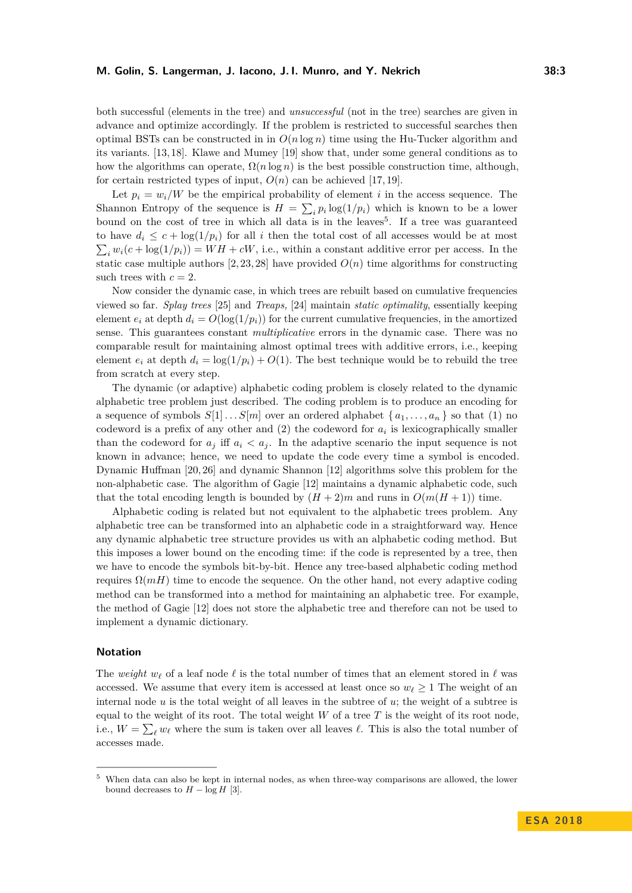both successful (elements in the tree) and *unsuccessful* (not in the tree) searches are given in advance and optimize accordingly. If the problem is restricted to successful searches then optimal BSTs can be constructed in in  $O(n \log n)$  time using the Hu-Tucker algorithm and its variants. [\[13,](#page-12-10) [18\]](#page-12-11). Klawe and Mumey [\[19\]](#page-12-12) show that, under some general conditions as to how the algorithms can operate,  $\Omega(n \log n)$  is the best possible construction time, although, for certain restricted types of input,  $O(n)$  can be achieved [\[17,](#page-12-13) [19\]](#page-12-12).

Let  $p_i = w_i/W$  be the empirical probability of element *i* in the access sequence. The Shannon Entropy of the sequence is  $H = \sum_i p_i \log(1/p_i)$  which is known to be a lower bound on the cost of tree in which all data is in the leaves<sup>[5](#page-2-0)</sup>. If a tree was guaranteed to have  $d_i \leq c + \log(1/p_i)$  for all *i* then the total cost of all accesses would be at most  $\sum_i w_i(c + \log(1/p_i)) = WH + cW$ , i.e., within a constant additive error per access. In the static case multiple authors  $[2, 23, 28]$  $[2, 23, 28]$  $[2, 23, 28]$  have provided  $O(n)$  time algorithms for constructing such trees with  $c = 2$ .

Now consider the dynamic case, in which trees are rebuilt based on cumulative frequencies viewed so far. *Splay trees* [\[25\]](#page-12-15) and *Treaps,* [\[24\]](#page-12-16) maintain *static optimality*, essentially keeping element  $e_i$  at depth  $d_i = O(\log(1/p_i))$  for the current cumulative frequencies, in the amortized sense. This guarantees constant *multiplicative* errors in the dynamic case. There was no comparable result for maintaining almost optimal trees with additive errors, i.e., keeping element  $e_i$  at depth  $d_i = \log(1/p_i) + O(1)$ . The best technique would be to rebuild the tree from scratch at every step.

The dynamic (or adaptive) alphabetic coding problem is closely related to the dynamic alphabetic tree problem just described. The coding problem is to produce an encoding for a sequence of symbols  $S[1] \ldots S[m]$  over an ordered alphabet  $\{a_1, \ldots, a_n\}$  so that (1) no codeword is a prefix of any other and  $(2)$  the codeword for  $a_i$  is lexicographically smaller than the codeword for  $a_j$  iff  $a_i < a_j$ . In the adaptive scenario the input sequence is not known in advance; hence, we need to update the code every time a symbol is encoded. Dynamic Huffman [\[20,](#page-12-17) [26\]](#page-13-2) and dynamic Shannon [\[12\]](#page-12-18) algorithms solve this problem for the non-alphabetic case. The algorithm of Gagie [\[12\]](#page-12-18) maintains a dynamic alphabetic code, such that the total encoding length is bounded by  $(H + 2)m$  and runs in  $O(m(H + 1))$  time.

Alphabetic coding is related but not equivalent to the alphabetic trees problem. Any alphabetic tree can be transformed into an alphabetic code in a straightforward way. Hence any dynamic alphabetic tree structure provides us with an alphabetic coding method. But this imposes a lower bound on the encoding time: if the code is represented by a tree, then we have to encode the symbols bit-by-bit. Hence any tree-based alphabetic coding method requires  $\Omega(mH)$  time to encode the sequence. On the other hand, not every adaptive coding method can be transformed into a method for maintaining an alphabetic tree. For example, the method of Gagie [\[12\]](#page-12-18) does not store the alphabetic tree and therefore can not be used to implement a dynamic dictionary.

#### **Notation**

The *weight*  $w_\ell$  of a leaf node  $\ell$  is the total number of times that an element stored in  $\ell$  was accessed. We assume that every item is accessed at least once so  $w_{\ell} \geq 1$  The weight of an internal node *u* is the total weight of all leaves in the subtree of *u*; the weight of a subtree is equal to the weight of its root. The total weight  $W$  of a tree  $T$  is the weight of its root node, i.e.,  $W = \sum_{\ell} w_{\ell}$  where the sum is taken over all leaves  $\ell$ . This is also the total number of accesses made.

<span id="page-2-0"></span><sup>5</sup> When data can also be kept in internal nodes, as when three-way comparisons are allowed, the lower bound decreases to  $H - \log H$  [\[3\]](#page-11-2).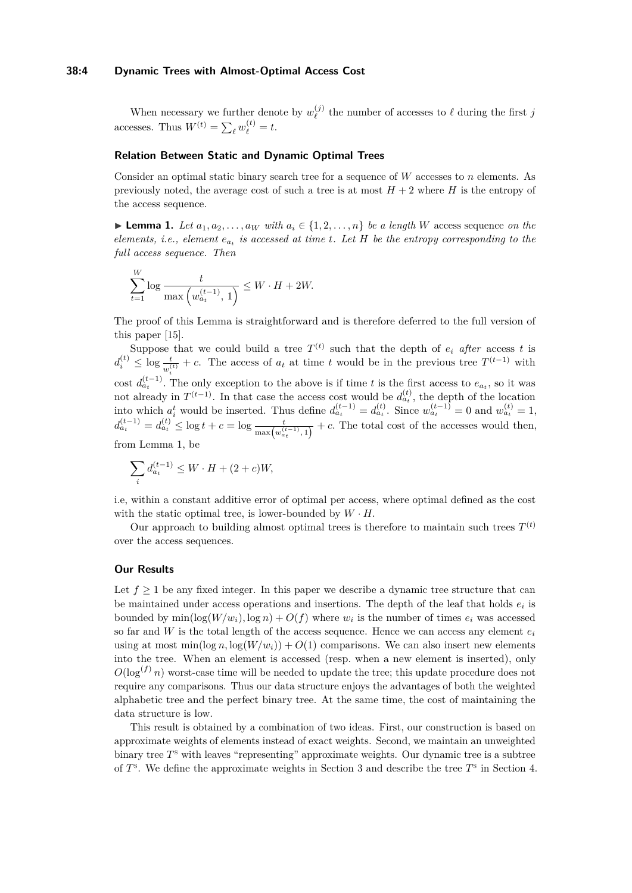#### **38:4 Dynamic Trees with Almost-Optimal Access Cost**

When necessary we further denote by  $w_{\ell}^{(j)}$  $\ell$ <sup>(*j*</sup>) the number of accesses to  $\ell$  during the first *j* accesses. Thus  $W^{(t)} = \sum_{\ell} w_{\ell}^{(t)} = t$ .

### **Relation Between Static and Dynamic Optimal Trees**

Consider an optimal static binary search tree for a sequence of *W* accesses to *n* elements. As previously noted, the average cost of such a tree is at most  $H + 2$  where *H* is the entropy of the access sequence.

<span id="page-3-0"></span>► **Lemma 1.** *Let*  $a_1, a_2, \ldots, a_W$  *with*  $a_i \in \{1, 2, \ldots, n\}$  *be a length W* access sequence *on the elements, i.e., element ea<sup>t</sup> is accessed at time t. Let H be the entropy corresponding to the full access sequence. Then*

$$
\sum_{t=1}^{W} \log \frac{t}{\max (w_{a_t}^{(t-1)}, 1)} \leq W \cdot H + 2W.
$$

The proof of this Lemma is straightforward and is therefore deferred to the full version of this paper [\[15\]](#page-12-0).

Suppose that we could build a tree  $T^{(t)}$  such that the depth of  $e_i$  after access t is  $d_i^{(t)} \leq \log \frac{t}{w_i^{(t)}} + c$ . The access of  $a_t$  at time *t* would be in the previous tree  $T^{(t-1)}$  with cost  $d_{a_t}^{(t-1)}$ . The only exception to the above is if time *t* is the first access to  $e_{a_t}$ , so it was not already in  $T^{(t-1)}$ . In that case the access cost would be  $d_{a_t}^{(t)}$ , the depth of the location into which  $a_i^t$  would be inserted. Thus define  $d_{a_t}^{(t-1)} = d_{a_t}^{(t)}$ . Since  $w_{a_t}^{(t-1)} = 0$  and  $w_{a_t}^{(t)} = 1$ ,  $d_{a_t}^{(t-1)} = d_{a_t}^{(t)} \le \log t + c = \log \frac{t}{\max(w_{a_t}^{(t-1)}, 1)} + c$ . The total cost of the accesses would then, from Lemma [1,](#page-3-0) be

$$
\sum_{i} d_{a_{t}}^{(t-1)} \leq W \cdot H + (2+c)W,
$$

i.e, within a constant additive error of optimal per access, where optimal defined as the cost with the static optimal tree, is lower-bounded by  $W \cdot H$ .

Our approach to building almost optimal trees is therefore to maintain such trees  $T<sup>(t)</sup>$ over the access sequences.

#### **Our Results**

Let  $f \geq 1$  be any fixed integer. In this paper we describe a dynamic tree structure that can be maintained under access operations and insertions. The depth of the leaf that holds  $e_i$  is bounded by  $\min(\log(W/w_i), \log n) + O(f)$  where  $w_i$  is the number of times  $e_i$  was accessed so far and *W* is the total length of the access sequence. Hence we can access any element  $e_i$ using at most  $\min(\log n, \log(W/w_i)) + O(1)$  comparisons. We can also insert new elements into the tree. When an element is accessed (resp. when a new element is inserted), only  $O(\log^{(f)} n)$  worst-case time will be needed to update the tree; this update procedure does not require any comparisons. Thus our data structure enjoys the advantages of both the weighted alphabetic tree and the perfect binary tree. At the same time, the cost of maintaining the data structure is low.

This result is obtained by a combination of two ideas. First, our construction is based on approximate weights of elements instead of exact weights. Second, we maintain an unweighted binary tree  $T^s$  with leaves "representing" approximate weights. Our dynamic tree is a subtree of  $T^s$ . We define the approximate weights in Section [3](#page-5-0) and describe the tree  $T^s$  in Section [4.](#page-5-1)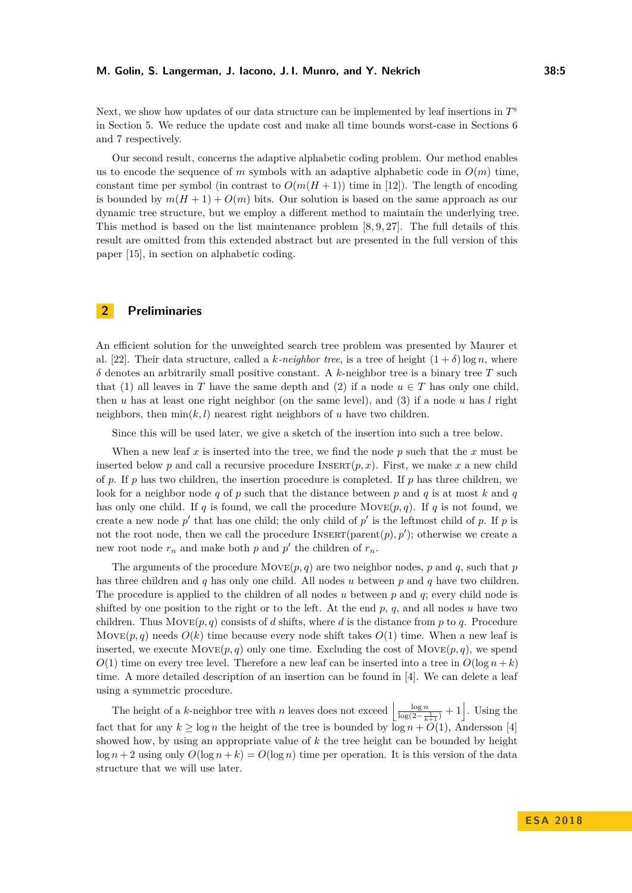#### **M. Golin, S. Langerman, J. Iacono, J. I. Munro, and Y. Nekrich 38:5**

Next, we show how updates of our data structure can be implemented by leaf insertions in *T* s in Section [5.](#page-6-0) We reduce the update cost and make all time bounds worst-case in Sections [6](#page-7-0) and [7](#page-9-0) respectively.

Our second result, concerns the adaptive alphabetic coding problem. Our method enables us to encode the sequence of *m* symbols with an adaptive alphabetic code in  $O(m)$  time, constant time per symbol (in contrast to  $O(m(H+1))$ ) time in [\[12\]](#page-12-18)). The length of encoding is bounded by  $m(H + 1) + O(m)$  bits. Our solution is based on the same approach as our dynamic tree structure, but we employ a different method to maintain the underlying tree. This method is based on the list maintenance problem [\[8,](#page-12-19) [9,](#page-12-20) [27\]](#page-13-3). The full details of this result are omitted from this extended abstract but are presented in the full version of this paper [\[15\]](#page-12-0), in section on alphabetic coding.

# <span id="page-4-0"></span>**2 Preliminaries**

An efficient solution for the unweighted search tree problem was presented by Maurer et al. [\[22\]](#page-12-3). Their data structure, called a *k*-neighbor tree, is a tree of height  $(1 + \delta) \log n$ , where *δ* denotes an arbitrarily small positive constant. A *k*-neighbor tree is a binary tree *T* such that (1) all leaves in *T* have the same depth and (2) if a node  $u \in T$  has only one child, then *u* has at least one right neighbor (on the same level), and (3) if a node *u* has *l* right neighbors, then  $\min(k, l)$  nearest right neighbors of *u* have two children.

Since this will be used later, we give a sketch of the insertion into such a tree below.

When a new leaf *x* is inserted into the tree, we find the node *p* such that the *x* must be inserted below p and call a recursive procedure INSERT $(p, x)$ . First, we make x a new child of  $p$ . If  $p$  has two children, the insertion procedure is completed. If  $p$  has three children, we look for a neighbor node  $q$  of  $p$  such that the distance between  $p$  and  $q$  is at most  $k$  and  $q$ has only one child. If *q* is found, we call the procedure  $Move(p, q)$ . If *q* is not found, we create a new node  $p'$  that has one child; the only child of  $p'$  is the leftmost child of  $p$ . If  $p$  is not the root node, then we call the procedure  $INSERT(parent(p), p')$ ; otherwise we create a new root node  $r_n$  and make both  $p$  and  $p'$  the children of  $r_n$ .

The arguments of the procedure  $Move(p, q)$  are two neighbor nodes, p and q, such that p has three children and *q* has only one child. All nodes *u* between *p* and *q* have two children. The procedure is applied to the children of all nodes *u* between *p* and *q*; every child node is shifted by one position to the right or to the left. At the end *p*, *q*, and all nodes *u* have two children. Thus  $Move(p, q)$  consists of *d* shifts, where *d* is the distance from *p* to *q*. Procedure Move $(p, q)$  needs  $O(k)$  time because every node shift takes  $O(1)$  time. When a new leaf is inserted, we execute  $\text{Move}(p, q)$  only one time. Excluding the cost of  $\text{Move}(p, q)$ , we spend  $O(1)$  time on every tree level. Therefore a new leaf can be inserted into a tree in  $O(\log n + k)$ time. A more detailed description of an insertion can be found in [\[4\]](#page-12-4). We can delete a leaf using a symmetric procedure.

The height of a *k*-neighbor tree with *n* leaves does not exceed  $\left\lfloor \frac{\log n}{\log(2-\frac{1}{k+1})} + 1 \right\rfloor$ . Using the fact that for any  $k \geq \log n$  the height of the tree is bounded by  $\log n + O(1)$ , Andersson [\[4\]](#page-12-4) showed how, by using an appropriate value of *k* the tree height can be bounded by height  $\log n + 2$  using only  $O(\log n + k) = O(\log n)$  time per operation. It is this version of the data structure that we will use later.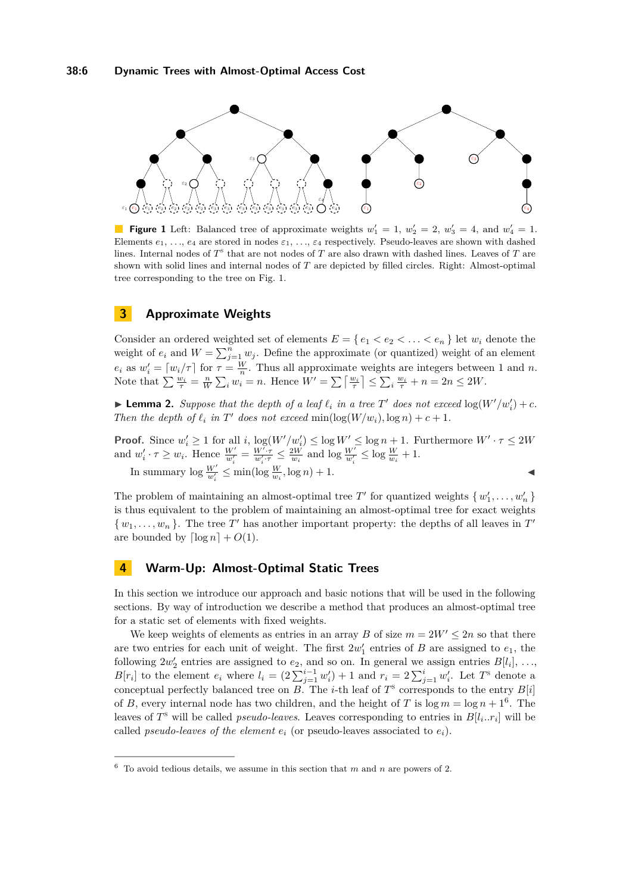<span id="page-5-2"></span>

**Figure 1** Left: Balanced tree of approximate weights  $w'_1 = 1$ ,  $w'_2 = 2$ ,  $w'_3 = 4$ , and  $w'_4 = 1$ . Elements  $e_1, \ldots, e_4$  are stored in nodes  $\varepsilon_1, \ldots, \varepsilon_4$  respectively. Pseudo-leaves are shown with dashed lines. Internal nodes of  $T^s$  that are not nodes of  $T$  are also drawn with dashed lines. Leaves of  $T$  are shown with solid lines and internal nodes of *T* are depicted by filled circles. Right: Almost-optimal tree corresponding to the tree on Fig. [1.](#page-5-2)

# <span id="page-5-0"></span>**3 Approximate Weights**

Consider an ordered weighted set of elements  $E = \{e_1 < e_2 < \ldots < e_n\}$  let  $w_i$  denote the weight of  $e_i$  and  $W = \sum_{j=1}^n w_j$ . Define the approximate (or quantized) weight of an element *e<sub>i</sub>* as  $w_i' = \lceil w_i / \tau \rceil$  for  $\tau = \frac{W}{n}$ . Thus all approximate weights are integers between 1 and *n*. Note that  $\sum \frac{w_i}{\tau} = \frac{n}{W} \sum_i w_i = n$ . Hence  $W' = \sum \left[ \frac{w_i}{\tau} \right] \le \sum_i \frac{w_i}{\tau} + n = 2n \le 2W$ .

**Example 2.** Suppose that the depth of a leaf  $\ell_i$  in a tree T' does not exceed  $\log(W'/w'_i) + c$ . *Then the depth of*  $\ell_i$  *in*  $T'$  *does not exceed* min $(\log(W/w_i), \log n) + c + 1$ *.* 

**Proof.** Since  $w'_i \geq 1$  for all *i*,  $\log(W'/w'_i) \leq \log W' \leq \log n + 1$ . Furthermore  $W' \cdot \tau \leq 2W$ and  $w'_i \cdot \tau \geq w_i$ . Hence  $\frac{W'}{w'_i} = \frac{W' \cdot \tau}{w'_i \cdot \tau} \leq \frac{2W}{w_i}$  and  $\log \frac{W'}{w'_i} \leq \log \frac{W}{w_i} + 1$ . In summary  $\log \frac{W'}{w'_i} \le \min(\log \frac{W}{w_i}, \log n) + 1.$ 

The problem of maintaining an almost-optimal tree  $T'$  for quantized weights  $\{w'_1, \ldots, w'_n\}$ is thus equivalent to the problem of maintaining an almost-optimal tree for exact weights  $\{w_1, \ldots, w_n\}$ . The tree  $T'$  has another important property: the depths of all leaves in  $T'$ are bounded by  $\lceil \log n \rceil + O(1)$ .

### <span id="page-5-1"></span>**4 Warm-Up: Almost-Optimal Static Trees**

In this section we introduce our approach and basic notions that will be used in the following sections. By way of introduction we describe a method that produces an almost-optimal tree for a static set of elements with fixed weights.

We keep weights of elements as entries in an array *B* of size  $m = 2W' \leq 2n$  so that there are two entries for each unit of weight. The first  $2w'_1$  entries of *B* are assigned to  $e_1$ , the following  $2w_2'$  entries are assigned to  $e_2$ , and so on. In general we assign entries  $B[l_i], \ldots$  $B[r_i]$  to the element  $e_i$  where  $l_i = (2\sum_{j=1}^{i-1} w'_i) + 1$  and  $r_i = 2\sum_{j=1}^{i} w'_i$ . Let T<sup>s</sup> denote a conceptual perfectly balanced tree on *B*. The *i*-th leaf of  $T^s$  corresponds to the entry  $B[i]$ of *B*, every internal node has two children, and the height of *T* is  $\log m = \log n + 1^6$  $\log m = \log n + 1^6$ . The leaves of  $T^s$  will be called *pseudo-leaves*. Leaves corresponding to entries in  $B[l_i..r_i]$  will be called *pseudo-leaves of the element*  $e_i$  (or pseudo-leaves associated to  $e_i$ ).

<span id="page-5-3"></span> $6\text{ To avoid tedious details, we assume in this section that }m \text{ and } n \text{ are powers of } 2.$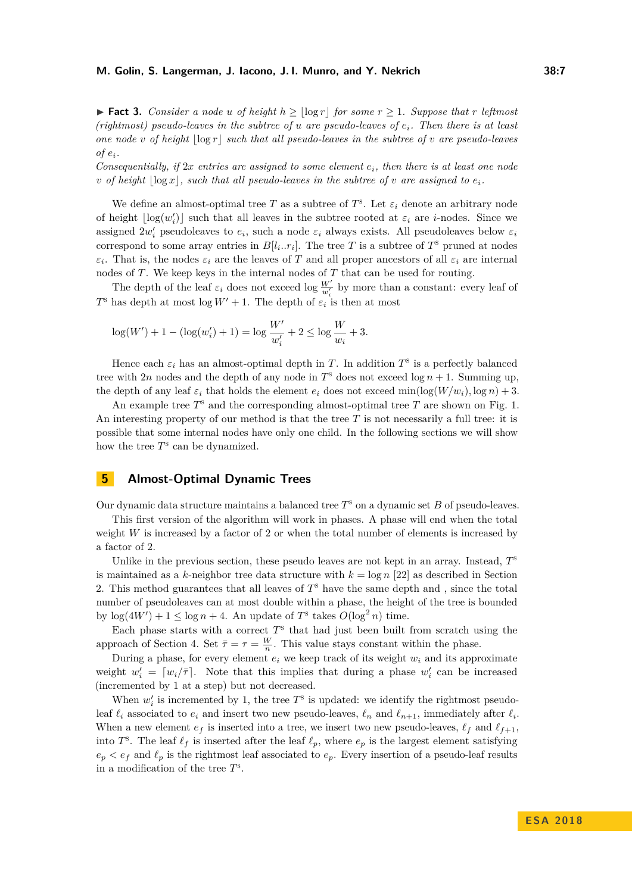**► Fact 3.** *Consider a node u of height*  $h \geq \lfloor \log r \rfloor$  *for some*  $r \geq 1$ *. Suppose that*  $r$  *leftmost (rightmost) pseudo-leaves in the subtree of u are pseudo-leaves of ei. Then there is at least one node v of height*  $|\log r|$  *such that all pseudo-leaves in the subtree of v are pseudo-leaves*  $of$   $e_i$ *.* 

*Consequentially, if* 2*x entries are assigned to some element ei, then there is at least one node v* of height  $|\log x|$ , such that all pseudo-leaves in the subtree of *v* are assigned to  $e_i$ .

We define an almost-optimal tree *T* as a subtree of  $T^s$ . Let  $\varepsilon_i$  denote an arbitrary node of height  $\lfloor \log(w_i') \rfloor$  such that all leaves in the subtree rooted at  $\varepsilon_i$  are *i*-nodes. Since we assigned  $2w_i'$  pseudoleaves to  $e_i$ , such a node  $\varepsilon_i$  always exists. All pseudoleaves below  $\varepsilon_i$ correspond to some array entries in  $B[l_i..r_i]$ . The tree T is a subtree of  $T^s$  pruned at nodes *εi*. That is, the nodes  $\varepsilon_i$  are the leaves of *T* and all proper ancestors of all  $\varepsilon_i$  are internal nodes of *T*. We keep keys in the internal nodes of *T* that can be used for routing.

The depth of the leaf  $\varepsilon_i$  does not exceed log  $\frac{W'}{w'_i}$  by more than a constant: every leaf of *T*<sup>s</sup> has depth at most log  $W' + 1$ . The depth of  $\varepsilon_i$  is then at most

$$
\log(W') + 1 - (\log(w'_i) + 1) = \log \frac{W'}{w'_i} + 2 \le \log \frac{W}{w_i} + 3.
$$

Hence each  $\varepsilon_i$  has an almost-optimal depth in *T*. In addition  $T^s$  is a perfectly balanced tree with 2*n* nodes and the depth of any node in  $T^s$  does not exceed log  $n + 1$ . Summing up, the depth of any leaf  $\varepsilon_i$  that holds the element  $e_i$  does not exceed min(log( $W/w_i$ ), log *n*) + 3.

An example tree  $T^s$  and the corresponding almost-optimal tree  $T$  are shown on Fig. [1.](#page-5-2) An interesting property of our method is that the tree *T* is not necessarily a full tree: it is possible that some internal nodes have only one child. In the following sections we will show how the tree  $T^s$  can be dynamized.

### <span id="page-6-0"></span>**5 Almost-Optimal Dynamic Trees**

Our dynamic data structure maintains a balanced tree *T* <sup>s</sup> on a dynamic set *B* of pseudo-leaves.

This first version of the algorithm will work in phases. A phase will end when the total weight *W* is increased by a factor of 2 or when the total number of elements is increased by a factor of 2.

Unlike in the previous section, these pseudo leaves are not kept in an array. Instead,  $T^s$ is maintained as a *k*-neighbor tree data structure with  $k = \log n$  [\[22\]](#page-12-3) as described in Section [2.](#page-4-0) This method guarantees that all leaves of  $T<sup>s</sup>$  have the same depth and, since the total number of pseudoleaves can at most double within a phase, the height of the tree is bounded by  $\log(4W') + 1 \leq \log n + 4$ . An update of  $T^s$  takes  $O(\log^2 n)$  time.

Each phase starts with a correct  $T<sup>s</sup>$  that had just been built from scratch using the approach of Section [4.](#page-5-1) Set  $\bar{\tau} = \tau = \frac{W}{n}$ . This value stays constant within the phase.

During a phase, for every element  $e_i$  we keep track of its weight  $w_i$  and its approximate weight  $w_i' = \lceil w_i / \overline{\tau} \rceil$ . Note that this implies that during a phase  $w_i'$  can be increased (incremented by 1 at a step) but not decreased.

When  $w_i'$  is incremented by 1, the tree  $T^s$  is updated: we identify the rightmost pseudoleaf  $\ell_i$  associated to  $e_i$  and insert two new pseudo-leaves,  $\ell_n$  and  $\ell_{n+1}$ , immediately after  $\ell_i$ . When a new element  $e_f$  is inserted into a tree, we insert two new pseudo-leaves,  $\ell_f$  and  $\ell_{f+1}$ , into  $T^s$ . The leaf  $\ell_f$  is inserted after the leaf  $\ell_p$ , where  $e_p$  is the largest element satisfying  $e_p < e_f$  and  $\ell_p$  is the rightmost leaf associated to  $e_p$ . Every insertion of a pseudo-leaf results in a modification of the tree *T* s .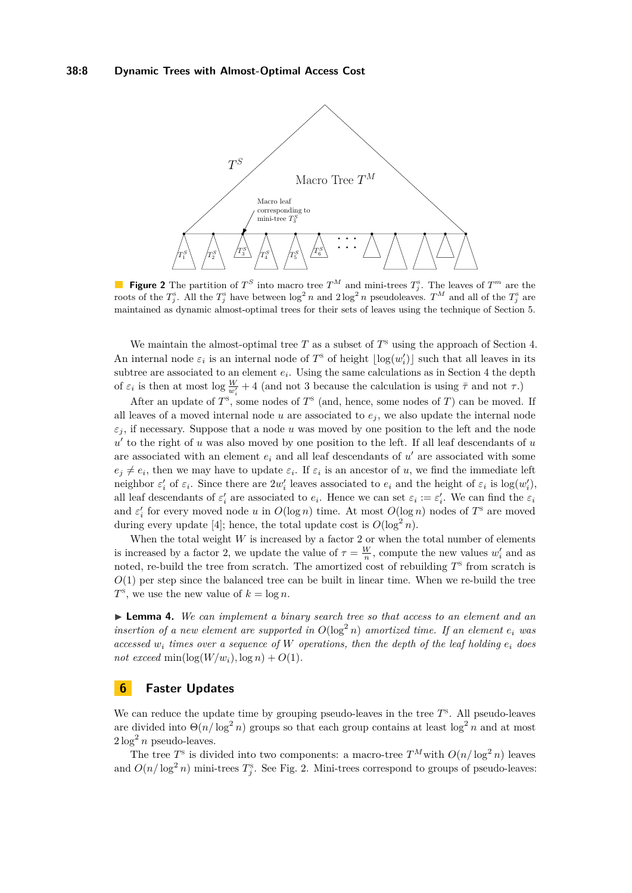<span id="page-7-1"></span>

**Figure 2** The partition of  $T^S$  into macro tree  $T^M$  and mini-trees  $T^s_j$ . The leaves of  $T^m$  are the roots of the  $T_j^s$ . All the  $T_j^s$  have between  $\log^2 n$  and  $2\log^2 n$  pseudoleaves.  $T^M$  and all of the  $T_j^s$  are maintained as dynamic almost-optimal trees for their sets of leaves using the technique of Section [5.](#page-6-0)

We maintain the almost-optimal tree  $T$  as a subset of  $T^s$  using the approach of Section [4.](#page-5-1) An internal node  $\varepsilon_i$  is an internal node of  $T^s$  of height  $\lfloor \log(w_i') \rfloor$  such that all leaves in its subtree are associated to an element  $e_i$ . Using the same calculations as in Section [4](#page-5-1) the depth of  $\varepsilon_i$  is then at most log  $\frac{W}{w'_i} + 4$  (and not 3 because the calculation is using  $\bar{\tau}$  and not  $\tau$ .)

After an update of  $T^s$ , some nodes of  $T^s$  (and, hence, some nodes of  $T$ ) can be moved. If all leaves of a moved internal node  $u$  are associated to  $e_j$ , we also update the internal node  $\varepsilon_j$ , if necessary. Suppose that a node *u* was moved by one position to the left and the node  $u'$  to the right of  $u$  was also moved by one position to the left. If all leaf descendants of  $u$ are associated with an element  $e_i$  and all leaf descendants of  $u'$  are associated with some  $e_j \neq e_i$ , then we may have to update  $\varepsilon_i$ . If  $\varepsilon_i$  is an ancestor of *u*, we find the immediate left neighbor  $\varepsilon'_i$  of  $\varepsilon_i$ . Since there are  $2w'_i$  leaves associated to  $e_i$  and the height of  $\varepsilon_i$  is  $\log(w'_i)$ , all leaf descendants of  $\varepsilon'_i$  are associated to  $e_i$ . Hence we can set  $\varepsilon_i := \varepsilon'_i$ . We can find the  $\varepsilon_i$ and  $\varepsilon'_{i}$  for every moved node *u* in  $O(\log n)$  time. At most  $O(\log n)$  nodes of  $T^{\text{s}}$  are moved during every update [\[4\]](#page-12-4); hence, the total update cost is  $O(\log^2 n)$ .

When the total weight  $W$  is increased by a factor  $2$  or when the total number of elements is increased by a factor 2, we update the value of  $\tau = \frac{W}{n}$ , compute the new values  $w_i'$  and as noted, re-build the tree from scratch. The amortized cost of rebuilding  $T<sup>s</sup>$  from scratch is  $O(1)$  per step since the balanced tree can be built in linear time. When we re-build the tree  $T^{\rm s}$ , we use the new value of  $k = \log n$ .

<span id="page-7-2"></span>I **Lemma 4.** *We can implement a binary search tree so that access to an element and an insertion of a new element are supported in*  $O(\log^2 n)$  *amortized time. If an element*  $e_i$  *was accessed*  $w_i$  *times over a sequence of*  $W$  *operations, then the depth of the leaf holding*  $e_i$  *does*  $not exceed min(log(W/w<sub>i</sub>), log n) + O(1)$ .

### <span id="page-7-0"></span>**6 Faster Updates**

We can reduce the update time by grouping pseudo-leaves in the tree  $T^s$ . All pseudo-leaves are divided into  $\Theta(n/\log^2 n)$  groups so that each group contains at least  $\log^2 n$  and at most  $2 \log^2 n$  pseudo-leaves.

The tree  $T^s$  is divided into two components: a macro-tree  $T^M$  with  $O(n/\log^2 n)$  leaves and  $O(n/\log^2 n)$  mini-trees  $T_j^s$ . See Fig. [2.](#page-7-1) Mini-trees correspond to groups of pseudo-leaves: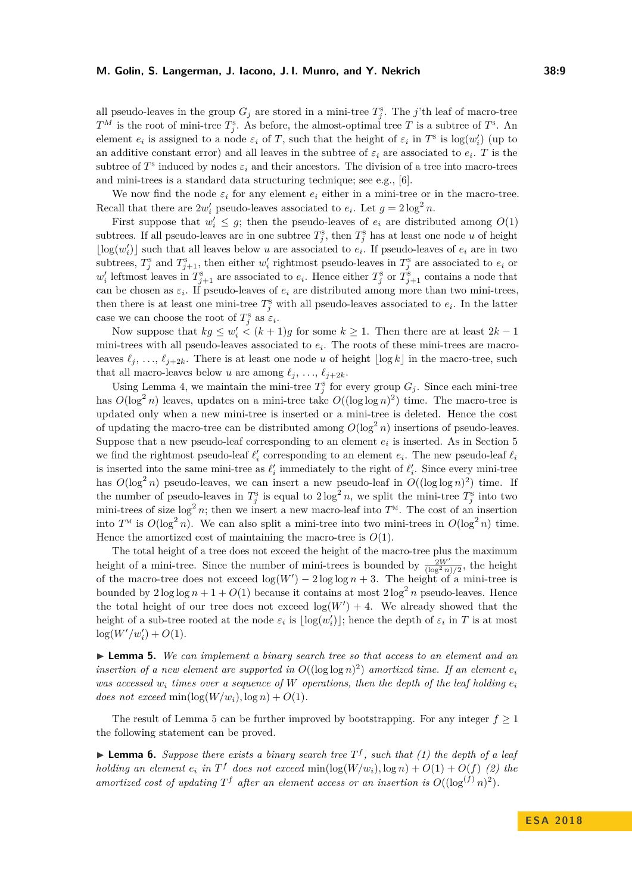all pseudo-leaves in the group  $G_j$  are stored in a mini-tree  $T_j^s$ . The *j*'th leaf of macro-tree  $T^M$  is the root of mini-tree  $T^s_j$ . As before, the almost-optimal tree *T* is a subtree of  $T^s$ . An element  $e_i$  is assigned to a node  $\varepsilon_i$  of *T*, such that the height of  $\varepsilon_i$  in  $T^s$  is  $\log(w'_i)$  (up to an additive constant error) and all leaves in the subtree of  $\varepsilon_i$  are associated to  $e_i$ . T is the subtree of  $T^{\text{s}}$  induced by nodes  $\varepsilon_i$  and their ancestors. The division of a tree into macro-trees and mini-trees is a standard data structuring technique; see e.g., [\[6\]](#page-12-5).

We now find the node  $\varepsilon_i$  for any element  $e_i$  either in a mini-tree or in the macro-tree. Recall that there are  $2w_i'$  pseudo-leaves associated to  $e_i$ . Let  $g = 2\log^2 n$ .

First suppose that  $w'_i \leq g$ ; then the pseudo-leaves of  $e_i$  are distributed among  $O(1)$ subtrees. If all pseudo-leaves are in one subtree  $T_j^s$ , then  $T_j^s$  has at least one node *u* of height  $\lfloor \log(w'_i) \rfloor$  such that all leaves below *u* are associated to  $e_i$ . If pseudo-leaves of  $e_i$  are in two subtrees,  $T_j^s$  and  $T_{j+1}^s$ , then either  $w'_i$  rightmost pseudo-leaves in  $T_j^s$  are associated to  $e_i$  or  $w'_i$  leftmost leaves in  $T_{j+1}^s$  are associated to  $e_i$ . Hence either  $T_j^s$  or  $T_{j+1}^s$  contains a node that can be chosen as  $\varepsilon_i$ . If pseudo-leaves of  $e_i$  are distributed among more than two mini-trees, then there is at least one mini-tree  $T_j^s$  with all pseudo-leaves associated to  $e_i$ . In the latter case we can choose the root of  $T_j^s$  as  $\varepsilon_i$ .

Now suppose that  $kg \leq w'_i \leq (k+1)g$  for some  $k \geq 1$ . Then there are at least  $2k-1$ mini-trees with all pseudo-leaves associated to *e<sup>i</sup>* . The roots of these mini-trees are macroleaves  $\ell_j$ , ...,  $\ell_{j+2k}$ . There is at least one node *u* of height  $\lfloor \log k \rfloor$  in the macro-tree, such that all macro-leaves below *u* are among  $\ell_j$ , ...,  $\ell_{j+2k}$ .

Using Lemma [4,](#page-7-2) we maintain the mini-tree  $T_j^s$  for every group  $G_j$ . Since each mini-tree has  $O(\log^2 n)$  leaves, updates on a mini-tree take  $O((\log \log n)^2)$  time. The macro-tree is updated only when a new mini-tree is inserted or a mini-tree is deleted. Hence the cost of updating the macro-tree can be distributed among  $O(\log^2 n)$  insertions of pseudo-leaves. Suppose that a new pseudo-leaf corresponding to an element  $e_i$  is inserted. As in Section [5](#page-6-0) we find the rightmost pseudo-leaf  $\ell'_i$  corresponding to an element  $e_i$ . The new pseudo-leaf  $\ell_i$ is inserted into the same mini-tree as  $\ell'_i$  immediately to the right of  $\ell'_i$ . Since every mini-tree has  $O(\log^2 n)$  pseudo-leaves, we can insert a new pseudo-leaf in  $O((\log \log n)^2)$  time. If the number of pseudo-leaves in  $T_j^s$  is equal to  $2 \log^2 n$ , we split the mini-tree  $T_j^s$  into two mini-trees of size  $\log^2 n$ ; then we insert a new macro-leaf into  $T^{\text{M}}$ . The cost of an insertion into  $T^{\text{M}}$  is  $O(\log^2 n)$ . We can also split a mini-tree into two mini-trees in  $O(\log^2 n)$  time. Hence the amortized cost of maintaining the macro-tree is  $O(1)$ .

The total height of a tree does not exceed the height of the macro-tree plus the maximum height of a mini-tree. Since the number of mini-trees is bounded by  $\frac{2W'}{(\log^2 n)/2}$ , the height of the macro-tree does not exceed  $\log(W') - 2 \log \log n + 3$ . The height of a mini-tree is bounded by  $2 \log \log n + 1 + O(1)$  because it contains at most  $2 \log^2 n$  pseudo-leaves. Hence the total height of our tree does not exceed  $log(W') + 4$ . We already showed that the height of a sub-tree rooted at the node  $\varepsilon_i$  is  $\lfloor \log(w'_i) \rfloor$ ; hence the depth of  $\varepsilon_i$  in *T* is at most  $log(W'/w'_i) + O(1)$ .

<span id="page-8-0"></span>I **Lemma 5.** *We can implement a binary search tree so that access to an element and an insertion of a new element are supported in*  $O((\log \log n)^2)$  *amortized time. If an element*  $e_i$ *was accessed*  $w_i$  *times over a sequence of W operations, then the depth of the leaf holding*  $e_i$ *does not exceed* min $(\log(W/w_i), \log n) + O(1)$ *.* 

The result of Lemma [5](#page-8-0) can be further improved by bootstrapping. For any integer  $f \geq 1$ the following statement can be proved.

<span id="page-8-1"></span>**Lemma 6.** Suppose there exists a binary search tree  $T<sup>f</sup>$ , such that (1) the depth of a leaf *holding an element*  $e_i$  *in*  $T^f$  *does not exceed*  $\min(\log(W/w_i), \log n) + O(1) + O(f)(2)$  *the amortized cost of updating*  $T^f$  *after an element access or an insertion is*  $O((\log^{(f)} n)^2)$ *.*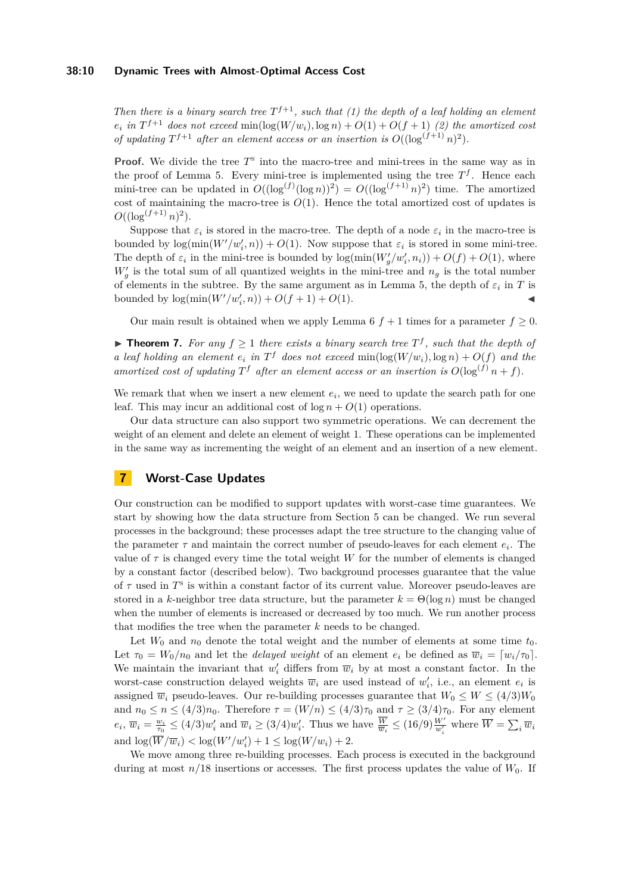#### **38:10 Dynamic Trees with Almost-Optimal Access Cost**

*Then there is a binary search tree*  $T^{f+1}$ *, such that (1) the depth of a leaf holding an element*  $e_i$  *in*  $T^{f+1}$  *does not exceed* min(log( $W/w_i$ )*,* log *n*) +  $O(1)$  +  $O(f + 1)$  (2) *the amortized cost of updating*  $T^{f+1}$  *after an element access or an insertion is*  $O((\log^{(f+1)} n)^2)$ .

**Proof.** We divide the tree  $T^s$  into the macro-tree and mini-trees in the same way as in the proof of Lemma [5.](#page-8-0) Every mini-tree is implemented using the tree  $T<sup>f</sup>$ . Hence each mini-tree can be updated in  $O((\log^{(f)}(\log n))^2) = O((\log^{(f+1)} n)^2)$  time. The amortized cost of maintaining the macro-tree is  $O(1)$ . Hence the total amortized cost of updates is  $O((\log^{(f+1)} n)^2)$ .

Suppose that  $\varepsilon_i$  is stored in the macro-tree. The depth of a node  $\varepsilon_i$  in the macro-tree is bounded by  $log(min(W'/w'_i, n)) + O(1)$ . Now suppose that  $\varepsilon_i$  is stored in some mini-tree. The depth of  $\varepsilon_i$  in the mini-tree is bounded by  $\log(\min(W'_g/w'_i, n_i)) + O(f) + O(1)$ , where  $W'_g$  is the total sum of all quantized weights in the mini-tree and  $n_g$  is the total number of elements in the subtree. By the same argument as in Lemma [5,](#page-8-0) the depth of  $\varepsilon_i$  in  $T$  is bounded by  $\log(\min(W'/w'_i, n)) + O(f + 1) + O(1)$ .

Our main result is obtained when we apply Lemma [6](#page-8-1)  $f + 1$  times for a parameter  $f \ge 0$ .

▶ **Theorem 7.** *For any*  $f \ge 1$  *there exists a binary search tree*  $T^f$ , *such that the depth of a leaf holding an element*  $e_i$  *in*  $T^f$  *does not exceed*  $\min(\log(W/w_i), \log n) + O(f)$  *and the amortized cost of updating*  $T^f$  *after an element access or an insertion is*  $O(\log^{(f)} n + f)$ *.* 

We remark that when we insert a new element  $e_i$ , we need to update the search path for one leaf. This may incur an additional cost of  $\log n + O(1)$  operations.

Our data structure can also support two symmetric operations. We can decrement the weight of an element and delete an element of weight 1. These operations can be implemented in the same way as incrementing the weight of an element and an insertion of a new element.

# <span id="page-9-0"></span>**7 Worst-Case Updates**

Our construction can be modified to support updates with worst-case time guarantees. We start by showing how the data structure from Section [5](#page-6-0) can be changed. We run several processes in the background; these processes adapt the tree structure to the changing value of the parameter  $\tau$  and maintain the correct number of pseudo-leaves for each element  $e_i$ . The value of  $\tau$  is changed every time the total weight *W* for the number of elements is changed by a constant factor (described below). Two background processes guarantee that the value of  $\tau$  used in  $T^s$  is within a constant factor of its current value. Moreover pseudo-leaves are stored in a *k*-neighbor tree data structure, but the parameter  $k = \Theta(\log n)$  must be changed when the number of elements is increased or decreased by too much. We run another process that modifies the tree when the parameter *k* needs to be changed.

Let  $W_0$  and  $n_0$  denote the total weight and the number of elements at some time  $t_0$ . Let  $\tau_0 = W_0/n_0$  and let the *delayed weight* of an element  $e_i$  be defined as  $\overline{w}_i = [w_i/\tau_0]$ . We maintain the invariant that  $w'_i$  differs from  $\overline{w}_i$  by at most a constant factor. In the worst-case construction delayed weights  $\overline{w}_i$  are used instead of  $w'_i$ , i.e., an element  $e_i$  is assigned  $\overline{w}_i$  pseudo-leaves. Our re-building processes guarantee that  $W_0 \leq W \leq (4/3)W_0$ and  $n_0 \le n \le (4/3)n_0$ . Therefore  $\tau = (W/n) \le (4/3)\tau_0$  and  $\tau \ge (3/4)\tau_0$ . For any element  $e_i$ ,  $\overline{w}_i = \frac{w_i}{\tau_0} \leq (4/3)w'_i$  and  $\overline{w}_i \geq (3/4)w'_i$ . Thus we have  $\frac{\overline{W}}{\overline{w}_i} \leq (16/9)\frac{W'}{w'_i}$  where  $\overline{W} = \sum_i \overline{w}_i$ and  $\log(\overline{W}/\overline{w}_i) < \log(W'/w'_i) + 1 \le \log(W/w_i) + 2$ .

We move among three re-building processes. Each process is executed in the background during at most  $n/18$  insertions or accesses. The first process updates the value of  $W_0$ . If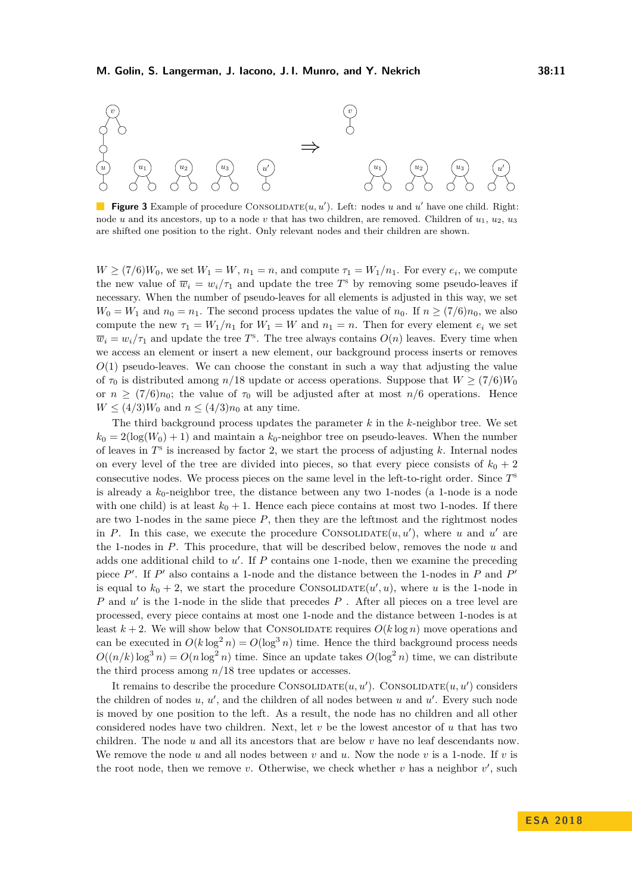

**Figure 3** Example of procedure CONSOLIDATE $(u, u')$ . Left: nodes *u* and *u'* have one child. Right: node *u* and its ancestors, up to a node *v* that has two children, are removed. Children of  $u_1, u_2, u_3$ are shifted one position to the right. Only relevant nodes and their children are shown.

 $W \ge (7/6)W_0$ , we set  $W_1 = W$ ,  $n_1 = n$ , and compute  $\tau_1 = W_1/n_1$ . For every  $e_i$ , we compute the new value of  $\overline{w}_i = w_i/\tau_1$  and update the tree  $T^s$  by removing some pseudo-leaves if necessary. When the number of pseudo-leaves for all elements is adjusted in this way, we set  $W_0 = W_1$  and  $n_0 = n_1$ . The second process updates the value of  $n_0$ . If  $n \ge (7/6)n_0$ , we also compute the new  $\tau_1 = W_1/n_1$  for  $W_1 = W$  and  $n_1 = n$ . Then for every element  $e_i$  we set  $\overline{w}_i = w_i/\tau_1$  and update the tree *T*<sup>s</sup>. The tree always contains  $O(n)$  leaves. Every time when we access an element or insert a new element, our background process inserts or removes  $O(1)$  pseudo-leaves. We can choose the constant in such a way that adjusting the value of  $\tau_0$  is distributed among *n*/18 update or access operations. Suppose that  $W \ge (7/6)W_0$ or  $n \ge (7/6)n_0$ ; the value of  $\tau_0$  will be adjusted after at most  $n/6$  operations. Hence  $W \leq (4/3)W_0$  and  $n \leq (4/3)n_0$  at any time.

The third background process updates the parameter *k* in the *k*-neighbor tree. We set  $k_0 = 2(\log(W_0) + 1)$  and maintain a  $k_0$ -neighbor tree on pseudo-leaves. When the number of leaves in  $T<sup>s</sup>$  is increased by factor 2, we start the process of adjusting  $k$ . Internal nodes on every level of the tree are divided into pieces, so that every piece consists of  $k_0 + 2$ consecutive nodes. We process pieces on the same level in the left-to-right order. Since *T* s is already a  $k_0$ -neighbor tree, the distance between any two 1-nodes (a 1-node is a node with one child) is at least  $k_0 + 1$ . Hence each piece contains at most two 1-nodes. If there are two 1-nodes in the same piece  $P$ , then they are the leftmost and the rightmost nodes in *P*. In this case, we execute the procedure CONSOLIDATE $(u, u')$ , where *u* and *u'* are the 1-nodes in *P*. This procedure, that will be described below, removes the node *u* and adds one additional child to  $u'$ . If  $P$  contains one 1-node, then we examine the preceding piece  $P'$ . If  $P'$  also contains a 1-node and the distance between the 1-nodes in  $P$  and  $P'$ is equal to  $k_0 + 2$ , we start the procedure CONSOLIDATE $(u', u)$ , where *u* is the 1-node in *P* and *u'* is the 1-node in the slide that precedes *P*. After all pieces on a tree level are processed, every piece contains at most one 1-node and the distance between 1-nodes is at least  $k + 2$ . We will show below that CONSOLIDATE requires  $O(k \log n)$  move operations and can be executed in  $O(k \log^2 n) = O(\log^3 n)$  time. Hence the third background process needs  $O((n/k)\log^3 n) = O(n\log^2 n)$  time. Since an update takes  $O(\log^2 n)$  time, we can distribute the third process among *n/*18 tree updates or accesses.

It remains to describe the procedure CONSOLIDATE $(u, u')$ . CONSOLIDATE $(u, u')$  considers the children of nodes  $u, u'$ , and the children of all nodes between  $u$  and  $u'$ . Every such node is moved by one position to the left. As a result, the node has no children and all other considered nodes have two children. Next, let *v* be the lowest ancestor of *u* that has two children. The node *u* and all its ancestors that are below *v* have no leaf descendants now. We remove the node  $u$  and all nodes between  $v$  and  $u$ . Now the node  $v$  is a 1-node. If  $v$  is the root node, then we remove *v*. Otherwise, we check whether *v* has a neighbor  $v'$ , such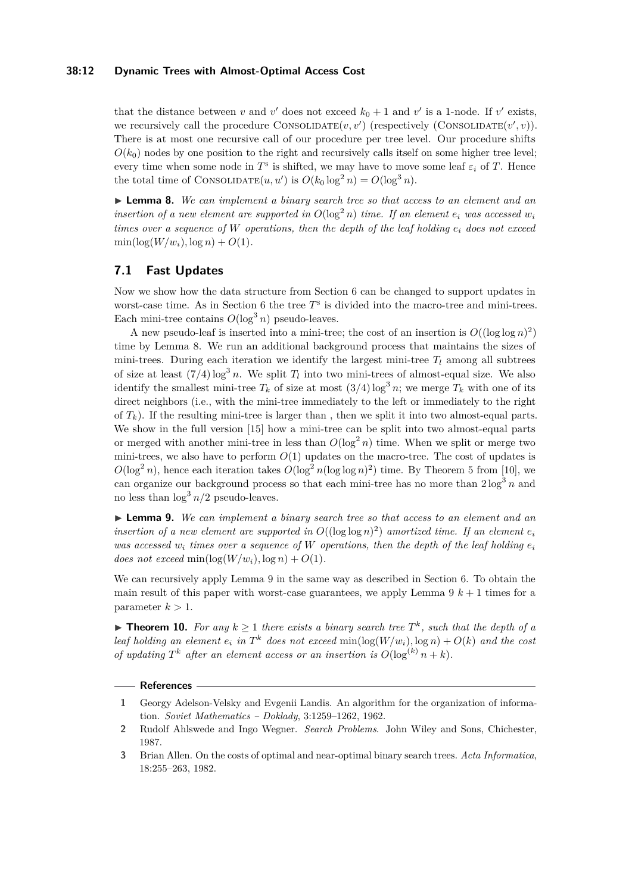#### **38:12 Dynamic Trees with Almost-Optimal Access Cost**

that the distance between *v* and *v*' does not exceed  $k_0 + 1$  and *v*' is a 1-node. If *v*' exists, we recursively call the procedure CONSOLIDATE $(v, v')$  (respectively (CONSOLIDATE $(v', v)$ ). There is at most one recursive call of our procedure per tree level. Our procedure shifts  $O(k_0)$  nodes by one position to the right and recursively calls itself on some higher tree level; every time when some node in  $T^s$  is shifted, we may have to move some leaf  $\varepsilon_i$  of  $T$ . Hence the total time of CONSOLIDATE $(u, u')$  is  $O(k_0 \log^2 n) = O(\log^3 n)$ .

<span id="page-11-3"></span>I **Lemma 8.** *We can implement a binary search tree so that access to an element and an insertion of a new element are supported in*  $O(\log^2 n)$  *time. If an element*  $e_i$  *was accessed*  $w_i$ *times over a sequence of W operations, then the depth of the leaf holding e<sup>i</sup> does not exceed*  $\min(\log(W/w_i), \log n) + O(1)$ .

## **7.1 Fast Updates**

Now we show how the data structure from Section [6](#page-7-0) can be changed to support updates in worst-case time. As in Section [6](#page-7-0) the tree  $T^s$  is divided into the macro-tree and mini-trees. Each mini-tree contains  $O(\log^3 n)$  pseudo-leaves.

A new pseudo-leaf is inserted into a mini-tree; the cost of an insertion is  $O((\log \log n)^2)$ time by Lemma [8.](#page-11-3) We run an additional background process that maintains the sizes of mini-trees. During each iteration we identify the largest mini-tree  $T_l$  among all subtrees of size at least  $(7/4) \log^3 n$ . We split  $T_l$  into two mini-trees of almost-equal size. We also identify the smallest mini-tree  $T_k$  of size at most  $(3/4) \log^3 n$ ; we merge  $T_k$  with one of its direct neighbors (i.e., with the mini-tree immediately to the left or immediately to the right of  $T_k$ ). If the resulting mini-tree is larger than, then we split it into two almost-equal parts. We show in the full version [\[15\]](#page-12-0) how a mini-tree can be split into two almost-equal parts or merged with another mini-tree in less than  $O(\log^2 n)$  time. When we split or merge two mini-trees, we also have to perform  $O(1)$  updates on the macro-tree. The cost of updates is  $O(\log^2 n)$ , hence each iteration takes  $O(\log^2 n(\log \log n)^2)$  time. By Theorem 5 from [\[10\]](#page-12-21), we can organize our background process so that each mini-tree has no more than  $2 \log^3 n$  and no less than  $\log^3 n/2$  pseudo-leaves.

<span id="page-11-4"></span>I **Lemma 9.** *We can implement a binary search tree so that access to an element and an insertion of a new element are supported in*  $O((\log \log n)^2)$  *amortized time. If an element*  $e_i$ *was accessed*  $w_i$  *times over a sequence of W operations, then the depth of the leaf holding*  $e_i$ *does not exceed* min $(\log(W/w_i), \log n) + O(1)$ *.* 

We can recursively apply Lemma [9](#page-11-4) in the same way as described in Section [6.](#page-7-0) To obtain the main result of this paper with worst-case guarantees, we apply Lemma  $9k + 1$  times for a parameter  $k > 1$ .

▶ **Theorem 10.** For any  $k \ge 1$  there exists a binary search tree  $T^k$ , such that the depth of a *leaf holding an element*  $e_i$  *in*  $T^k$  *does not exceed*  $min(log(W/w_i), log n) + O(k)$  *and the cost of updating*  $T^k$  *after an element access or an insertion is*  $O(\log^{(k)} n + k)$ *.* 

#### **References**

- <span id="page-11-0"></span>**1** Georgy Adelson-Velsky and Evgenii Landis. An algorithm for the organization of information. *Soviet Mathematics – Doklady*, 3:1259–1262, 1962.
- <span id="page-11-1"></span>**2** Rudolf Ahlswede and Ingo Wegner. *Search Problems*. John Wiley and Sons, Chichester, 1987.
- <span id="page-11-2"></span>**3** Brian Allen. On the costs of optimal and near-optimal binary search trees. *Acta Informatica*, 18:255–263, 1982.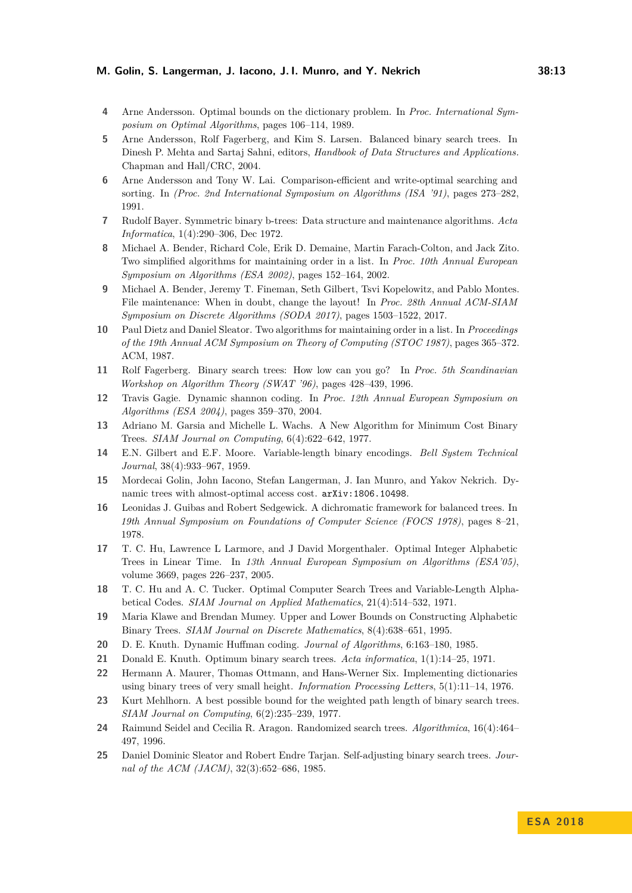#### **M. Golin, S. Langerman, J. Iacono, J. I. Munro, and Y. Nekrich 38:13**

- <span id="page-12-4"></span>**4** Arne Andersson. Optimal bounds on the dictionary problem. In *Proc. International Symposium on Optimal Algorithms*, pages 106–114, 1989.
- <span id="page-12-7"></span>**5** Arne Andersson, Rolf Fagerberg, and Kim S. Larsen. Balanced binary search trees. In Dinesh P. Mehta and Sartaj Sahni, editors, *Handbook of Data Structures and Applications.* Chapman and Hall/CRC, 2004.
- <span id="page-12-5"></span>**6** Arne Andersson and Tony W. Lai. Comparison-efficient and write-optimal searching and sorting. In *(Proc. 2nd International Symposium on Algorithms (ISA '91)*, pages 273–282, 1991.
- <span id="page-12-1"></span>**7** Rudolf Bayer. Symmetric binary b-trees: Data structure and maintenance algorithms. *Acta Informatica*, 1(4):290–306, Dec 1972.
- <span id="page-12-19"></span>**8** Michael A. Bender, Richard Cole, Erik D. Demaine, Martin Farach-Colton, and Jack Zito. Two simplified algorithms for maintaining order in a list. In *Proc. 10th Annual European Symposium on Algorithms (ESA 2002)*, pages 152–164, 2002.
- <span id="page-12-20"></span>**9** Michael A. Bender, Jeremy T. Fineman, Seth Gilbert, Tsvi Kopelowitz, and Pablo Montes. File maintenance: When in doubt, change the layout! In *Proc. 28th Annual ACM-SIAM Symposium on Discrete Algorithms (SODA 2017)*, pages 1503–1522, 2017.
- <span id="page-12-21"></span>**10** Paul Dietz and Daniel Sleator. Two algorithms for maintaining order in a list. In *Proceedings of the 19th Annual ACM Symposium on Theory of Computing (STOC 1987)*, pages 365–372. ACM, 1987.
- <span id="page-12-6"></span>**11** Rolf Fagerberg. Binary search trees: How low can you go? In *Proc. 5th Scandinavian Workshop on Algorithm Theory (SWAT '96)*, pages 428–439, 1996.
- <span id="page-12-18"></span>**12** Travis Gagie. Dynamic shannon coding. In *Proc. 12th Annual European Symposium on Algorithms (ESA 2004)*, pages 359–370, 2004.
- <span id="page-12-10"></span>**13** Adriano M. Garsia and Michelle L. Wachs. A New Algorithm for Minimum Cost Binary Trees. *SIAM Journal on Computing*, 6(4):622–642, 1977.
- <span id="page-12-8"></span>**14** E.N. Gilbert and E.F. Moore. Variable-length binary encodings. *Bell System Technical Journal*, 38(4):933–967, 1959.
- <span id="page-12-0"></span>**15** Mordecai Golin, John Iacono, Stefan Langerman, J. Ian Munro, and Yakov Nekrich. Dynamic trees with almost-optimal access cost. [arXiv:1806.10498](http://arxiv.org/abs/1806.10498).
- <span id="page-12-2"></span>**16** Leonidas J. Guibas and Robert Sedgewick. A dichromatic framework for balanced trees. In *19th Annual Symposium on Foundations of Computer Science (FOCS 1978)*, pages 8–21, 1978.
- <span id="page-12-13"></span>**17** T. C. Hu, Lawrence L Larmore, and J David Morgenthaler. Optimal Integer Alphabetic Trees in Linear Time. In *13th Annual European Symposium on Algorithms (ESA'05)*, volume 3669, pages 226–237, 2005.
- <span id="page-12-11"></span>**18** T. C. Hu and A. C. Tucker. Optimal Computer Search Trees and Variable-Length Alphabetical Codes. *SIAM Journal on Applied Mathematics*, 21(4):514–532, 1971.
- <span id="page-12-12"></span>**19** Maria Klawe and Brendan Mumey. Upper and Lower Bounds on Constructing Alphabetic Binary Trees. *SIAM Journal on Discrete Mathematics*, 8(4):638–651, 1995.
- <span id="page-12-17"></span>**20** D. E. Knuth. Dynamic Huffman coding. *Journal of Algorithms*, 6:163–180, 1985.
- <span id="page-12-9"></span>**21** Donald E. Knuth. Optimum binary search trees. *Acta informatica*, 1(1):14–25, 1971.
- <span id="page-12-3"></span>**22** Hermann A. Maurer, Thomas Ottmann, and Hans-Werner Six. Implementing dictionaries using binary trees of very small height. *Information Processing Letters*, 5(1):11–14, 1976.
- <span id="page-12-14"></span>**23** Kurt Mehlhorn. A best possible bound for the weighted path length of binary search trees. *SIAM Journal on Computing*, 6(2):235–239, 1977.
- <span id="page-12-16"></span>**24** Raimund Seidel and Cecilia R. Aragon. Randomized search trees. *Algorithmica*, 16(4):464– 497, 1996.
- <span id="page-12-15"></span>**25** Daniel Dominic Sleator and Robert Endre Tarjan. Self-adjusting binary search trees. *Journal of the ACM (JACM)*, 32(3):652–686, 1985.